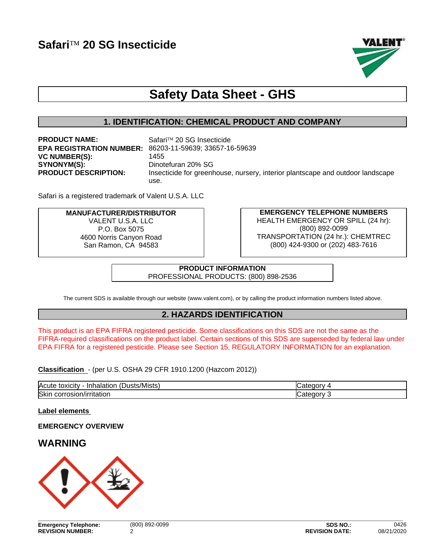

# **Safety Data Sheet - GHS**

# **1. IDENTIFICATION: CHEMICAL PRODUCT AND COMPANY**

**PRODUCT NAME:** Safari™ 20 SG Insecticide **VC NUMBER(S):** 1455 **SYNONYM(S):** Dinotefuran 20% SG

**EPA REGISTRATION NUMBER:** 86203-11-59639; 33657-16-59639 **PRODUCT DESCRIPTION:** Insecticide for greenhouse, nursery, interior plantscape and outdoor landscape use.

Safari is a registered trademark of Valent U.S.A. LLC

#### **MANUFACTURER/DISTRIBUTOR** VALENT U.S.A. LLC P.O. Box 5075 4600 Norris Canyon Road San Ramon, CA 94583

**EMERGENCY TELEPHONE NUMBERS** HEALTH EMERGENCY OR SPILL (24 hr): (800) 892-0099 TRANSPORTATION (24 hr.): CHEMTREC (800) 424-9300 or (202) 483-7616

**PRODUCT INFORMATION** PROFESSIONAL PRODUCTS: (800) 898-2536

The current SDS is available through our website (www.valent.com), or by calling the product information numbers listed above.

# **2. HAZARDS IDENTIFICATION**

This product is an EPA FIFRA registered pesticide. Some classifications on this SDS are not the same as the FIFRA-required classifications on the product label. Certain sections of this SDS are superseded by federal law under EPA FIFRA for a registered pesticide. Please see Section 15, REGULATORY INFORMATION for an explanation.

**Classification** - (per U.S. OSHA 29 CFR 1910.1200 (Hazcom 2012))

| Acute<br>Dusts/Mists)<br>- - - - - -<br>toxicity<br>Inhalation | .orv               |
|----------------------------------------------------------------|--------------------|
| Skin<br>. .<br>----------<br>corrosion/irritation              | ı<br>.<br>ח∩r<br>_ |

#### **Label elements**

# **EMERGENCY OVERVIEW**

# **WARNING**

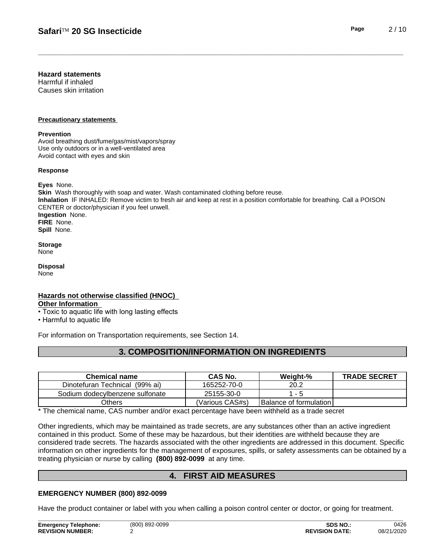#### **Hazard statements**

Harmful if inhaled Causes skin irritation

#### **Precautionary statements**

#### **Prevention**

Avoid breathing dust/fume/gas/mist/vapors/spray Use only outdoors or in a well-ventilated area Avoid contact with eyes and skin

#### **Response**

**Eyes** None. **Skin** Wash thoroughly with soap and water. Wash contaminated clothing before reuse. **Inhalation** IF INHALED: Remove victim to fresh air and keep at rest in a position comfortable for breathing. Call a POISON CENTER or doctor/physician if you feel unwell. **Ingestion** None. **FIRE** None. **Spill** None.

**Storage** None

**Disposal** None

#### **Hazards not otherwise classified (HNOC)**

#### **Other Information**

- Toxic to aquatic life with long lasting effects
- Harmful to aquatic life

For information on Transportation requirements, see Section 14.

# **3. COMPOSITION/INFORMATION ON INGREDIENTS**

| Chemical name                     | <b>CAS No.</b>  | Weight-%                      | <b>TRADE SECRET</b> |
|-----------------------------------|-----------------|-------------------------------|---------------------|
| (99% ai)<br>Dinotefuran Technical | 165252-70-0     | 20.2                          |                     |
| Sodium dodecylbenzene sulfonate   | 25155-30-0      |                               |                     |
| Others                            | (Various CAS#s) | <b>Balance of formulation</b> |                     |

\* The chemical name, CAS number and/or exact percentage have been withheld as a trade secret

Other ingredients, which may be maintained as trade secrets, are any substances other than an active ingredient contained in this product. Some of these may be hazardous, but their identities are withheld because they are considered trade secrets. The hazards associated with the otheringredients are addressed in this document. Specific information on other ingredients for the management of exposures, spills, or safety assessments can be obtained by a treating physician or nurse by calling **(800) 892-0099** at any time.

# **4. FIRST AID MEASURES**

#### **EMERGENCY NUMBER (800) 892-0099**

Have the product container or label with you when calling a poison control center or doctor, or going for treatment.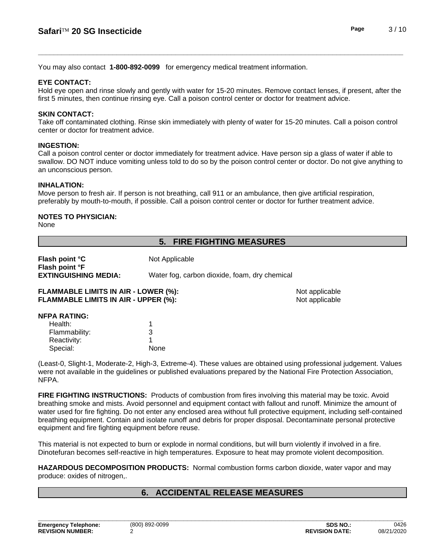You may also contact **1-800-892-0099** for emergency medical treatment information.

#### **EYE CONTACT:**

Hold eye open and rinse slowly and gently with water for 15-20 minutes. Remove contact lenses, if present, after the first 5 minutes, then continue rinsing eye. Call a poison control center or doctor for treatment advice.

#### **SKIN CONTACT:**

Take off contaminated clothing. Rinse skin immediately with plenty of water for 15-20 minutes. Call a poison control center or doctor for treatment advice.

#### **INGESTION:**

Call a poison control center or doctor immediately for treatment advice. Have person sip a glass of water if able to swallow. DO NOT induce vomiting unless told to do so by the poison control center or doctor. Do not give anything to an unconscious person.

#### **INHALATION:**

Move person to fresh air. If person is not breathing, call 911 or an ambulance, then give artificial respiration, preferably by mouth-to-mouth, if possible. Call a poison control center or doctor for further treatment advice.

#### **NOTES TO PHYSICIAN:**

None

# **5. FIRE FIGHTING MEASURES**

| Flash point °C<br>Flash point °F            | Not Applicable                                |                |
|---------------------------------------------|-----------------------------------------------|----------------|
| <b>EXTINGUISHING MEDIA:</b>                 | Water fog, carbon dioxide, foam, dry chemical |                |
| <b>FLAMMABLE LIMITS IN AIR - LOWER (%):</b> |                                               | Not applicable |

**FLAMMABLE LIMITS IN AIR - UPPER (%):** Not applicable

#### **NFPA RATING:**

| 3    |
|------|
|      |
| None |
|      |

(Least-0, Slight-1, Moderate-2, High-3, Extreme-4). These values are obtained using professional judgement. Values were not available in the guidelines or published evaluations prepared by the National Fire Protection Association, NFPA.

**FIRE FIGHTING INSTRUCTIONS:** Products of combustion from fires involving this material may be toxic. Avoid breathing smoke and mists. Avoid personnel and equipment contact with fallout and runoff. Minimize the amount of water used for fire fighting. Do not enter any enclosed area without full protective equipment, including self-contained breathing equipment.Contain and isolate runoff and debris for proper disposal. Decontaminate personal protective equipment and fire fighting equipment before reuse.

This material is not expected to burn or explode in normal conditions, but will burn violently if involved in a fire. Dinotefuran becomes self-reactive in high temperatures. Exposure to heat may promote violent decomposition.

**HAZARDOUS DECOMPOSITION PRODUCTS:** Normal combustion forms carbon dioxide, water vapor and may produce: oxides of nitrogen,.

# **6. ACCIDENTAL RELEASE MEASURES**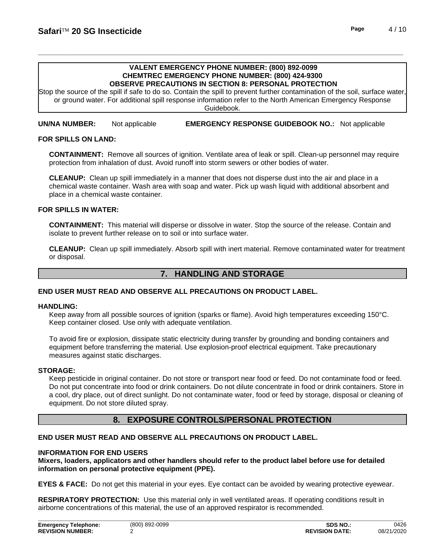# **VALENT EMERGENCY PHONE NUMBER: (800) 892-0099 CHEMTREC EMERGENCY PHONE NUMBER: (800) 424-9300**

**OBSERVE PRECAUTIONS IN SECTION 8: PERSONAL PROTECTION**

Stop the source of the spill if safe to do so. Contain the spill to prevent further contamination of the soil, surface water, or ground water. For additional spill response information refer to the North American Emergency Response Guidebook.

**UN/NA NUMBER:** Not applicable **EMERGENCY RESPONSE GUIDEBOOK NO.:** Not applicable

#### **FOR SPILLS ON LAND:**

**CONTAINMENT:** Remove all sources of ignition. Ventilate area of leak or spill. Clean-up personnel may require protection from inhalation of dust. Avoid runoff into storm sewers or other bodies of water.

**CLEANUP:** Clean up spill immediately in a manner that does not disperse dust into the air and place in a chemical waste container. Wash area with soap and water. Pick up wash liquid with additional absorbent and place in a chemical waste container.

#### **FOR SPILLS IN WATER:**

**CONTAINMENT:** This material will disperse or dissolve in water. Stop the source of the release. Contain and isolate to prevent further release on to soil or into surface water.

**CLEANUP:** Clean up spill immediately. Absorb spill with inert material. Remove contaminated water for treatment or disposal.

### **7. HANDLING AND STORAGE**

#### **END USER MUST READ AND OBSERVE ALL PRECAUTIONS ON PRODUCT LABEL.**

#### **HANDLING:**

Keep away from all possible sources of ignition (sparks or flame). Avoid high temperatures exceeding 150°C. Keep container closed. Use only with adequate ventilation.

To avoid fire or explosion, dissipate static electricity during transfer by grounding and bonding containers and equipment before transferring the material. Use explosion-proof electrical equipment. Take precautionary measures against static discharges.

#### **STORAGE:**

Keep pesticide in original container. Do not store or transport near food or feed. Do not contaminate food or feed. Do not put concentrate into food or drink containers. Do not dilute concentrate in food or drink containers. Store in a cool, dry place, out of direct sunlight. Do not contaminate water, food or feed by storage, disposal or cleaning of equipment. Do not store diluted spray.

#### **8. EXPOSURE CONTROLS/PERSONAL PROTECTION**

#### **END USER MUST READ AND OBSERVE ALL PRECAUTIONS ON PRODUCT LABEL.**

#### **INFORMATION FOR END USERS**

**Mixers, loaders, applicators and other handlers should refer to the product label before use for detailed information on personal protective equipment (PPE).**

**EYES & FACE:** Do not get this material in your eyes. Eye contact can be avoided by wearing protective eyewear.

**RESPIRATORY PROTECTION:** Use this material only in well ventilated areas. If operating conditions result in airborne concentrations of this material, the use of an approved respirator is recommended.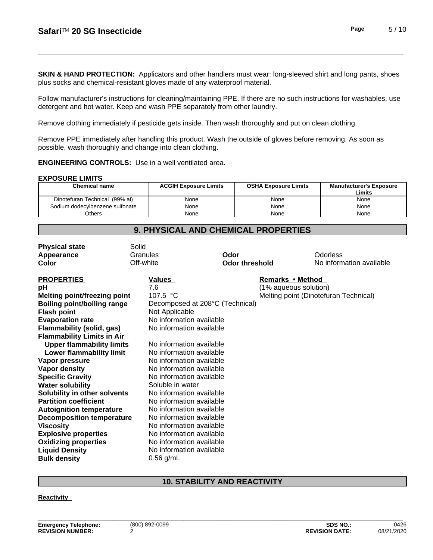**SKIN & HAND PROTECTION:** Applicators and other handlers must wear: long-sleeved shirt and long pants, shoes plus socks and chemical-resistant gloves made of any waterproof material.

Follow manufacturer's instructions for cleaning/maintaining PPE. If there are no such instructions for washables, use detergent and hot water. Keep and wash PPE separately from other laundry.

Remove clothing immediately if pesticide gets inside.Then wash thoroughly and put on clean clothing.

Remove PPE immediately after handling this product. Wash the outside of gloves before removing. As soon as possible, wash thoroughly and change into clean clothing.

**ENGINEERING CONTROLS:** Use in a well ventilated area.

#### **EXPOSURE LIMITS**

| <b>Chemical name</b>            | <b>ACGIH Exposure Limits</b> | <b>OSHA Exposure Limits</b> | Manufacturer's Exposure<br>Limits |
|---------------------------------|------------------------------|-----------------------------|-----------------------------------|
| Dinotefuran Technical (99% ai)  | None                         | None                        | None                              |
| Sodium dodecylbenzene sulfonate | None                         | None                        | None                              |
| <b>Others</b>                   | None                         | None                        | None                              |

#### **Explosive properties** No information available **Oxidizing properties** No information available **Liquid Density** No information available **Bulk density** 0.56 g/mL **Physical state** Solid **Appearance** Granules **Odor** Odorless **Color Color Color Color Color <b>Color Color No** information available **PROPERTIES** Values *Remarks* • Method **pH** 2.6 (1% aqueous solution) **Melting point/freezing point** 107.5 °C Melting point (Dinotefuran Technical) **Boiling point/boiling range** Decomposed at 208°C (Technical) **Flash point** Not Applicable **Evaporation rate No information available**<br> **Flammability (solid. gas)** No information available **Flammability** (solid, gas) **Flammability Limits in Air Upper flammability limits** No information available **Lower flammability limit** No information available **Vapor pressure** No information available **Vapor density** No information available **Specific Gravity No information available**<br> **Water solubility No information available**<br>
Soluble in water **Water solubility Solubility in other solvents** No information available **Partition coefficient** No information available<br> **Autoignition temperature** No information available **Autoignition temperature Decomposition temperature** No information available **Viscosity** No information available

#### **10. STABILITY AND REACTIVITY**

**Reactivity**

# **9. PHYSICAL AND CHEMICAL PROPERTIES**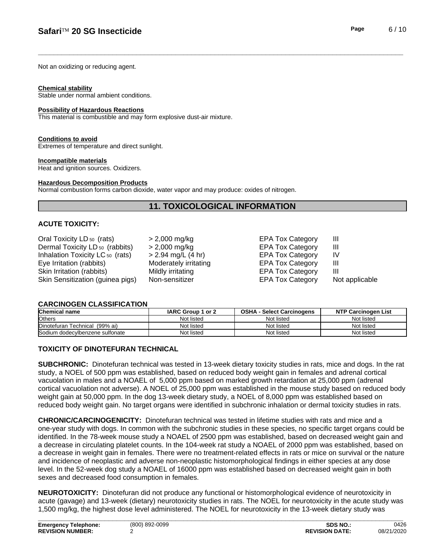Not an oxidizing or reducing agent.

#### **Chemical stability**

Stable under normal ambient conditions.

#### **Possibility of Hazardous Reactions**

This material is combustible and may form explosive dust-air mixture.

#### **Conditions to avoid**

Extremes of temperature and direct sunlight.

#### **Incompatible materials**

Heat and ignition sources. Oxidizers.

#### **Hazardous Decomposition Products**

Normal combustion forms carbon dioxide, water vapor and may produce: oxides of nitrogen.

### **11. TOXICOLOGICAL INFORMATION**

#### **ACUTE TOXICITY:**

| Oral Toxicity LD <sub>50</sub> (rats)<br>Dermal Toxicity LD <sub>50</sub> (rabbits)<br>Inhalation Toxicity LC <sub>50</sub> (rats)<br>Eye Irritation (rabbits)<br>Skin Irritation (rabbits)<br>Skin Sensitization (guinea pigs) | $> 2,000$ mg/kg<br>> 2,000 mg/kg<br>> 2.94 mg/L (4 hr)<br>Moderately irritating<br>Mildly irritating | <b>EPA Tox Category</b><br><b>EPA Tox Category</b><br><b>EPA Tox Category</b><br><b>EPA Tox Category</b><br><b>EPA Tox Category</b> | Ш<br>Ш<br>IV<br>Ш<br>Ш<br>Not applicable |
|---------------------------------------------------------------------------------------------------------------------------------------------------------------------------------------------------------------------------------|------------------------------------------------------------------------------------------------------|-------------------------------------------------------------------------------------------------------------------------------------|------------------------------------------|
|                                                                                                                                                                                                                                 | Non-sensitizer                                                                                       | <b>EPA Tox Category</b>                                                                                                             |                                          |

#### **CARCINOGEN CLASSIFICATION**

| <b>Chemical name</b>                   | IARC Group 1 or 2 | <b>OSHA</b><br>- Select Carcinogens | <b>NTP Carcinogen List</b> |
|----------------------------------------|-------------------|-------------------------------------|----------------------------|
| <b>Others</b>                          | Not listed        | Not listed                          | Not listed                 |
| <b>IDinotefuran Technical (99% ai)</b> | Not listed        | Not listed                          | Not listed                 |
| Sodium dodecylbenzene sulfonate        | Not listed        | Not listed                          | Not listed                 |

#### **TOXICITY OF DINOTEFURAN TECHNICAL**

**SUBCHRONIC:** Dinotefuran technical was tested in 13-week dietary toxicity studies in rats, mice and dogs. In the rat study, a NOEL of 500 ppm was established, based on reduced body weight gain in females and adrenal cortical vacuolation in males and a NOAEL of 5,000 ppm based on marked growth retardation at 25,000 ppm (adrenal cortical vacuolation not adverse). A NOEL of 25,000 ppm was established in the mouse study based on reduced body weight gain at 50,000 ppm. In the dog 13-week dietary study, a NOEL of 8,000 ppm was established based on reduced body weight gain. No target organs were identified in subchronic inhalation or dermal toxicity studies in rats.

**CHRONIC/CARCINOGENICITY:** Dinotefuran technical was tested in lifetime studies with rats and mice and a one-year study with dogs. In common with the subchronic studies in these species, no specific target organs could be identified. In the 78-week mouse study a NOAEL of 2500 ppm was established, based on decreased weight gain and a decrease in circulating platelet counts. In the 104-week rat study a NOAEL of 2000 ppm was established, based on a decrease in weight gain in females. There were no treatment-related effects in rats or mice on survival or the nature and incidence of neoplastic and adverse non-neoplastic histomorphological findings in either species at any dose level. In the 52-week dog study a NOAEL of 16000 ppm was established based on decreased weight gain in both sexes and decreased food consumption in females.

**NEUROTOXICITY:** Dinotefuran did not produce any functional or histomorphological evidence of neurotoxicity in acute (gavage) and 13-week (dietary) neurotoxicity studies in rats. The NOEL for neurotoxicity in the acute study was 1,500 mg/kg, the highest dose level administered. The NOEL for neurotoxicity in the 13-week dietary study was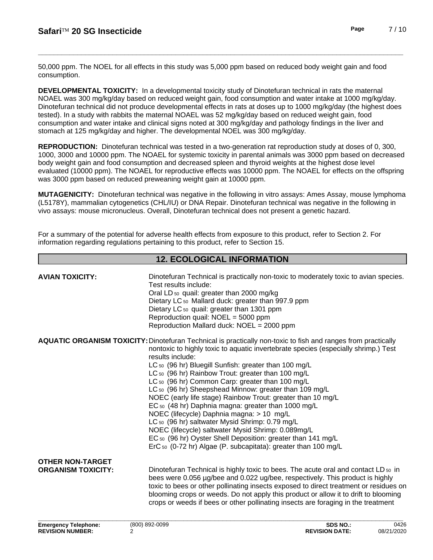50,000 ppm. The NOEL for all effects in this study was 5,000 ppm based on reduced body weight gain and food consumption.

**DEVELOPMENTAL TOXICITY:**In a developmental toxicity study of Dinotefuran technical in rats the maternal NOAEL was 300 mg/kg/day based on reduced weight gain, food consumption and water intake at 1000 mg/kg/day. Dinotefuran technical did not produce developmental effects in rats at doses up to 1000 mg/kg/day (the highest does tested). In a study with rabbits the maternal NOAEL was 52 mg/kg/day based on reduced weight gain, food consumption and water intake and clinical signs noted at 300 mg/kg/day and pathology findings in the liver and stomach at 125 mg/kg/day and higher. The developmental NOEL was 300 mg/kg/day.

**REPRODUCTION:** Dinotefuran technical was tested in a two-generation rat reproduction study at doses of 0, 300, 1000, 3000 and 10000 ppm. The NOAEL for systemic toxicity in parental animals was 3000 ppm based on decreased body weight gain and food consumption and decreased spleen and thyroid weights at the highest dose level evaluated (10000 ppm). The NOAEL for reproductive effects was 10000 ppm. The NOAEL for effects on the offspring was 3000 ppm based on reduced preweaning weight gain at 10000 ppm.

**MUTAGENICITY:** Dinotefuran technical was negative in the following in vitro assays: Ames Assay, mouse lymphoma (L5178Y), mammalian cytogenetics (CHL/IU) or DNA Repair. Dinotefuran technical was negative in the following in vivo assays: mouse micronucleus. Overall, Dinotefuran technical does not present a genetic hazard.

For a summary of the potential for adverse health effects from exposure to this product, refer to Section 2. For information regarding regulations pertaining to this product, refer to Section 15.

# **12. ECOLOGICAL INFORMATION**

| Dietary LC <sub>50</sub> Mallard duck: greater than 997.9 ppm<br>Dietary LC <sub>50</sub> quail: greater than 1301 ppm<br>Reproduction quail: NOEL = 5000 ppm<br>Reproduction Mallard duck: NOEL = 2000 ppm                                                                                                                                                                                                                                                                                                                                                                                                                                                                                                                                                                                                                                                                                                                      |  |
|----------------------------------------------------------------------------------------------------------------------------------------------------------------------------------------------------------------------------------------------------------------------------------------------------------------------------------------------------------------------------------------------------------------------------------------------------------------------------------------------------------------------------------------------------------------------------------------------------------------------------------------------------------------------------------------------------------------------------------------------------------------------------------------------------------------------------------------------------------------------------------------------------------------------------------|--|
| <b>AQUATIC ORGANISM TOXICITY: Dinotefuran Technical is practically non-toxic to fish and ranges from practically</b><br>nontoxic to highly toxic to aquatic invertebrate species (especially shrimp.) Test<br>results include:<br>LC <sub>50</sub> (96 hr) Bluegill Sunfish: greater than 100 mg/L<br>LC <sub>50</sub> (96 hr) Rainbow Trout: greater than 100 mg/L<br>LC <sub>50</sub> (96 hr) Common Carp: greater than 100 mg/L<br>LC <sub>50</sub> (96 hr) Sheepshead Minnow: greater than 109 mg/L<br>NOEC (early life stage) Rainbow Trout: greater than 10 mg/L<br>EC 50 (48 hr) Daphnia magna: greater than 1000 mg/L<br>NOEC (lifecycle) Daphnia magna: > 10 mg/L<br>LC <sub>50</sub> (96 hr) saltwater Mysid Shrimp: 0.79 mg/L<br>NOEC (lifecycle) saltwater Mysid Shrimp: 0.089mg/L<br>EC 50 (96 hr) Oyster Shell Deposition: greater than 141 mg/L<br>ErC 50 (0-72 hr) Algae (P. subcapitata): greater than 100 mg/L |  |
| <b>OTHER NON-TARGET</b><br>Dinotefuran Technical is highly toxic to bees. The acute oral and contact LD 50 in<br><b>ORGANISM TOXICITY:</b><br>bees were 0.056 µg/bee and 0.022 ug/bee, respectively. This product is highly<br>toxic to bees or other pollinating insects exposed to direct treatment or residues on<br>blooming crops or weeds. Do not apply this product or allow it to drift to blooming<br>crops or weeds if bees or other pollinating insects are foraging in the treatment                                                                                                                                                                                                                                                                                                                                                                                                                                 |  |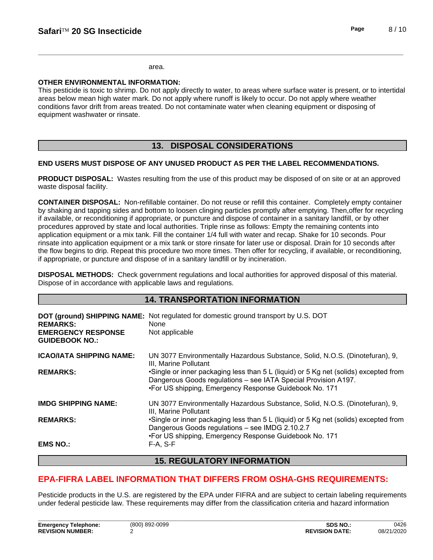#### area.

#### **OTHER ENVIRONMENTAL INFORMATION:**

This pesticide is toxic to shrimp. Do not apply directly to water, to areas where surface water is present, or to intertidal areas below mean high water mark. Do not apply where runoff is likely to occur. Do not apply where weather conditions favor drift from areas treated. Do not contaminate water when cleaning equipment or disposing of equipment washwater or rinsate.

# **13. DISPOSAL CONSIDERATIONS**

#### **END USERS MUST DISPOSE OF ANY UNUSED PRODUCT AS PER THE LABEL RECOMMENDATIONS.**

**PRODUCT DISPOSAL:** Wastes resulting from the use of this product may be disposed of on site or at an approved waste disposal facility.

**CONTAINER DISPOSAL:** Non-refillable container. Do not reuse or refillthis container. Completely empty container by shaking and tapping sides and bottom to loosen clinging particles promptly after emptying. Then,offer for recycling if available, or reconditioning if appropriate, or puncture and dispose of container in a sanitary landfill, or by other procedures approved by state and local authorities. Triple rinse as follows: Empty the remaining contents into application equipment or a mix tank. Fill the container 1/4 full with water and recap. Shake for 10 seconds. Pour rinsate into application equipment or a mix tank or store rinsate for later use or disposal. Drain for 10 seconds after the flow begins to drip. Repeat this procedure two more times. Then offer for recycling, if available, or reconditioning, if appropriate, or puncture and dispose of in a sanitary landfill or by incineration.

**DISPOSAL METHODS:** Check government regulations and local authorities for approved disposal of this material. Dispose of in accordance with applicable laws and regulations.

|                                                                       | <b>14. TRANSPORTATION INFORMATION</b>                                                                                                                                                                            |
|-----------------------------------------------------------------------|------------------------------------------------------------------------------------------------------------------------------------------------------------------------------------------------------------------|
| <b>REMARKS:</b><br><b>EMERGENCY RESPONSE</b><br><b>GUIDEBOOK NO.:</b> | DOT (ground) SHIPPING NAME: Not regulated for domestic ground transport by U.S. DOT<br>None<br>Not applicable                                                                                                    |
| <b>ICAO/IATA SHIPPING NAME:</b>                                       | UN 3077 Environmentally Hazardous Substance, Solid, N.O.S. (Dinotefuran), 9,                                                                                                                                     |
|                                                                       | III. Marine Pollutant                                                                                                                                                                                            |
| <b>REMARKS:</b>                                                       | •Single or inner packaging less than 5 L (liquid) or 5 Kg net (solids) excepted from<br>Dangerous Goods regulations - see IATA Special Provision A197.<br>•For US shipping, Emergency Response Guidebook No. 171 |
| <b>IMDG SHIPPING NAME:</b>                                            | UN 3077 Environmentally Hazardous Substance, Solid, N.O.S. (Dinotefuran), 9,<br>III, Marine Pollutant                                                                                                            |
| <b>REMARKS:</b>                                                       | •Single or inner packaging less than 5 L (liquid) or 5 Kg net (solids) excepted from<br>Dangerous Goods regulations - see IMDG 2.10.2.7<br>•For US shipping, Emergency Response Guidebook No. 171                |
| <b>EMS NO.:</b>                                                       | $F-A, S-F$                                                                                                                                                                                                       |

# **15. REGULATORY INFORMATION**

# **EPA-FIFRA LABEL INFORMATION THAT DIFFERS FROM OSHA-GHS REQUIREMENTS:**

Pesticide products in the U.S. are registered by the EPA under FIFRA and are subject to certain labeling requirements under federal pesticide law. These requirements may differ from the classification criteria and hazard information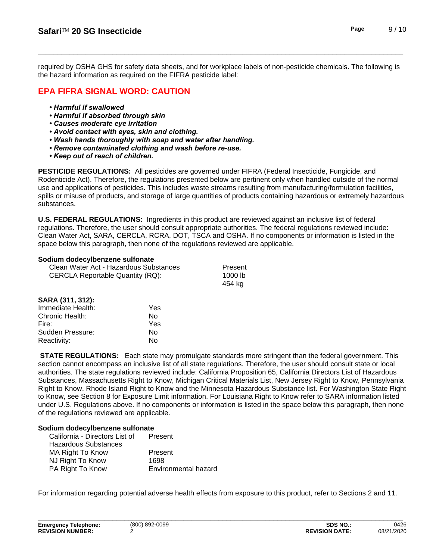required by OSHA GHS for safety data sheets, and for workplace labels of non-pesticide chemicals. The following is the hazard information as required on the FIFRA pesticide label:

# **EPA FIFRA SIGNAL WORD: CAUTION**

- *•Harmfulifswallowed*
- **Harmful if absorbed through skin**
- **Causes moderate eye irritation**
- *•Avoidcontactwitheyes,skinandclothing.*
- Wash hands thoroughly with soap and water after handling.
- **Remove contaminated clothing and wash before re-use.**
- *•Keepoutofreachofchildren.*

**PESTICIDE REGULATIONS:** All pesticides are governed under FIFRA (Federal Insecticide, Fungicide, and Rodenticide Act). Therefore, the regulations presented below are pertinent only when handled outside of the normal use and applications of pesticides. This includes waste streams resulting from manufacturing/formulation facilities, spills or misuse of products, and storage of large quantities of products containing hazardous or extremely hazardous substances.

**U.S. FEDERAL REGULATIONS:** Ingredients in this product are reviewed against an inclusive list of federal regulations. Therefore, the user should consult appropriate authorities. The federal regulations reviewed include: Clean Water Act, SARA, CERCLA, RCRA, DOT, TSCA and OSHA. If no components or information islisted in the space below this paragraph, then none of the regulations reviewed are applicable.

#### **Sodium dodecylbenzene sulfonate**

| Clean Water Act - Hazardous Substances | Present |  |
|----------------------------------------|---------|--|
| CERCLA Reportable Quantity (RQ):       | 1000 lb |  |
|                                        | 454 ka  |  |

| SARA (311, 312):  |     |  |
|-------------------|-----|--|
| Immediate Health: | Yes |  |
| Chronic Health:   | N٥  |  |
| Fire:             | Yes |  |
| Sudden Pressure:  | N٥  |  |
| Reactivity:       | N٥  |  |

**STATE REGULATIONS:** Each state may promulgate standards more stringent than the federal government. This section cannot encompass an inclusive list of all state regulations. Therefore, the user should consult state or local authorities. The state regulations reviewed include: California Proposition 65, California Directors List of Hazardous Substances, Massachusetts Right to Know, Michigan Critical Materials List, New Jersey Right to Know, Pennsylvania Right to Know, Rhode Island Right to Know and the Minnesota Hazardous Substance list. For Washington State Right to Know, see Section 8 for Exposure Limit information. For Louisiana Right to Know refer to SARA information listed under U.S. Regulations above. If no components or information is listed in the space below this paragraph, then none of the regulations reviewed are applicable.

#### **Sodium dodecylbenzene sulfonate**

| California - Directors List of | Present              |
|--------------------------------|----------------------|
| Hazardous Substances           |                      |
| MA Right To Know               | Present              |
| NJ Right To Know               | 1698                 |
| PA Right To Know               | Environmental hazard |

For information regarding potential adverse health effects from exposure to this product, refer to Sections 2 and 11.